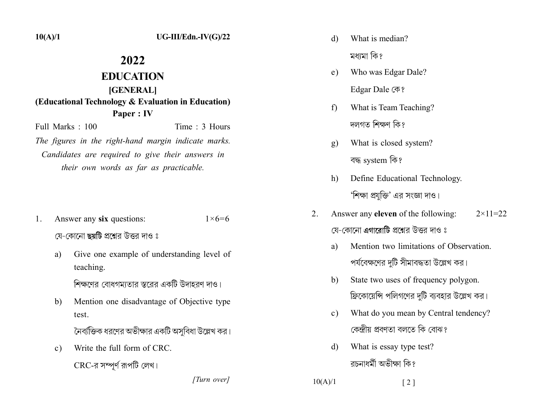$10(A)/1$ 

## 2022

## **EDUCATION [GENERAL]** (Educational Technology & Evaluation in Education) Paper : IV

Full Marks  $\cdot$  100 Time  $\cdot$  3 Hours The figures in the right-hand margin indicate marks.

Candidates are required to give their answers in their own words as far as practicable.

- Answer any six questions:  $1 \times 6 = 6$ 1. যে-কোনো ছয়টি প্রশ্নের উত্তর দাও ঃ
	- Give one example of understanding level of a) teaching.

শিক্ষণের বোধগমতোর স্তরের একটি উদাহরণ দাও।

Mention one disadvantage of Objective type  $b)$ test.

নৈব্যক্তিক ধরণের অভীক্ষার একটি অসবিধা উল্লেখ কর।

Write the full form of CRC.  $\mathbf{c}$ ) CRC-র সম্পূর্ণ রূপটি লেখ।

[Turn over]

- What is median? d) মধামা কি?
- Who was Edgar Dale?  $e)$

Edgar Dale (不?

- What is Team Teaching?  $f$ দলগত শিক্ষণ কি?
- What is closed system?  $g)$ বদ্ধ system কি?
- Define Educational Technology.  $h)$ 'শিক্ষা প্রযক্তি' এর সংজ্ঞা দাও।
- 2. Answer any **eleven** of the following:  $2 \times 11 = 22$ যে-কোনো এগারোটি প্রশ্নের উত্তর দাও ঃ
	- Mention two limitations of Observation. a) পর্যবেক্ষণের দুটি সীমাবদ্ধতা উল্লেখ কর।
	- b) State two uses of frequency polygon. ফ্রিকোয়েন্সি পলিগণের দটি ব্যবহার উল্লেখ কর।
	- What do you mean by Central tendency?  $\mathbf{c}$ ) কেন্দ্ৰীয় প্ৰবণতা বলতে কি বোঝ?
	- What is essay type test? d) বচনাধৰ্মী অভীক্ষা কি?

 $10(A)/1$  $\lceil 2 \rceil$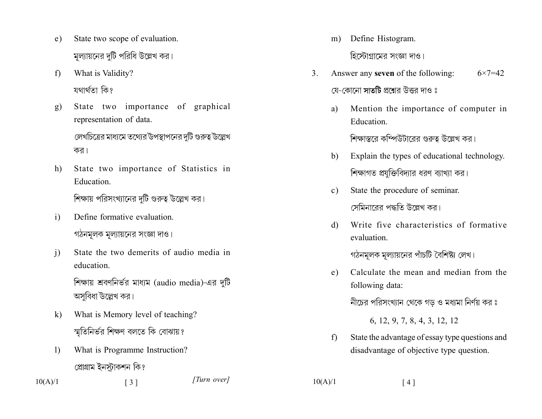- State two scope of evaluation.  $e)$ মূল্যায়নের দুটি পরিধি উল্লেখ কর।
- What is Validity?  $f$ যথাৰ্থতা কি?
- State two importance of graphical  $g)$ representation of data.

লেখচিত্রের মাধ্যমে তথ্যের উপস্থাপনের দটি গুরুত্ব উল্লেখ কর।

- State two importance of Statistics in h) Education. শিক্ষায় পরিসংখ্যানের দুটি গুরুত্ব উল্লেখ কর।
- Define formative evaluation.  $\mathbf{i}$ গঠনমূলক মূল্যায়নের সংজ্ঞা দাও।
- $\overline{1}$ State the two demerits of audio media in education

শিক্ষায় শ্রবণনির্ভর মাধ্যম (audio media)-এর দুটি অসবিধা উল্লেখ কর।

- What is Memory level of teaching?  $\bf k$ স্মতিনির্ভর শিক্ষণ বলতে কি বোঝায়?
- $\left| \right|$ What is Programme Instruction? প্ৰোগ্ৰাম ইনস্টাকশন কি?

 $\lceil 3 \rceil$ 

 $10(A)/1$ 

[Turn over]

Define Histogram.  $m)$ হিস্টোগ্রামের সংজ্ঞা দাও।

- Answer any **seven** of the following:  $3<sub>1</sub>$  $6 \times 7 = 42$ যে-কোনো সাতটি প্রশ্নের উত্তর দাও ঃ
	- Mention the importance of computer in a) Education.

শিক্ষাত্বরে কম্পিউটারের গুরুত্ব উল্লেখ কর।

- Explain the types of educational technology.  $b)$ শিক্ষাগত প্রযুক্তিবিদ্যার ধরণ ব্যাখ্যা কর।
- State the procedure of seminar.  $c)$ সেমিনারের পদ্ধতি উল্লেখ কর।
- Write five characteristics of formative d) evaluation.

গঠনমূলক মূল্যায়নের পাঁচটি বৈশিষ্ট্য লেখ।

Calculate the mean and median from the  $e)$ following data:

নীচের পরিসংখ্যান থেকে গড় ও মধ্যমা নির্ণয় কর ঃ

6, 12, 9, 7, 8, 4, 3, 12, 12

State the advantage of essay type questions and  $f$ disadvantage of objective type question.

 $[4]$ 

 $10(A)/1$